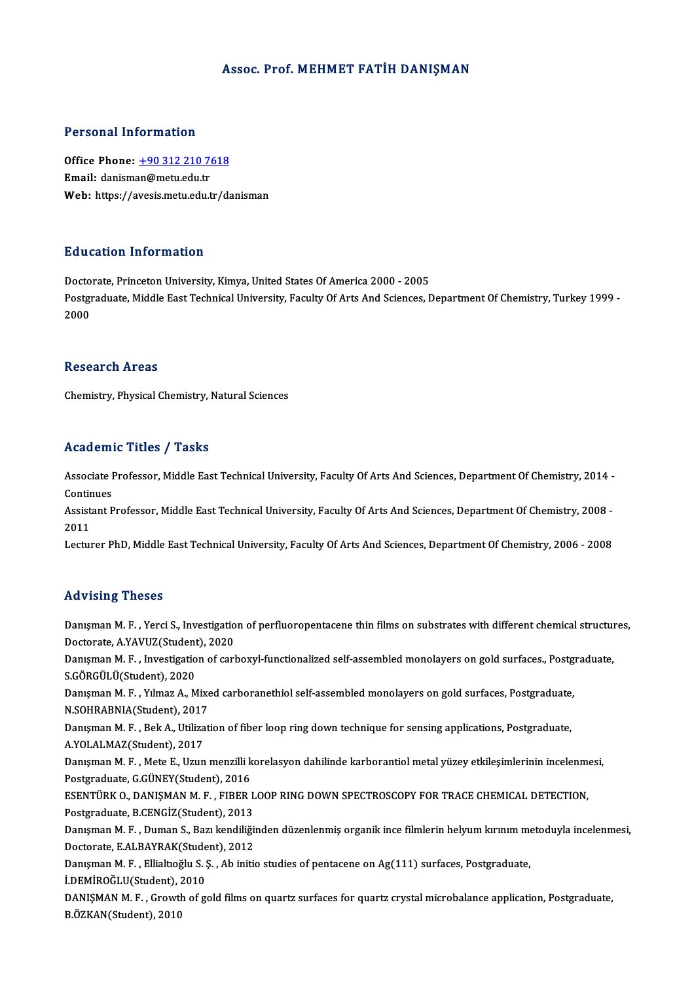# Assoc. Prof. MEHMET FATİH DANIŞMAN

# Personal Information

Office Phone: +90 312 210 7618 Email: danism[an@metu.edu.tr](tel:+90 312 210 7618) Web: https://avesis.metu.edu.tr/danisman

# Education Information

Doctorate, Princeton University, Kimya, United States Of America 2000 - 2005 Pu d'ederen Thret Inderen<br>Doctorate, Princeton University, Kimya, United States Of America 2000 - 2005<br>Postgraduate, Middle East Technical University, Faculty Of Arts And Sciences, Department Of Chemistry, Turkey 1999 -Docto<br>Postgi<br>2000 2000<br>Research Areas

Chemistry, Physical Chemistry, Natural Sciences

# Academic Titles / Tasks

Academic Titles / Tasks<br>Associate Professor, Middle East Technical University, Faculty Of Arts And Sciences, Department Of Chemistry, 2014 -<br>Continues Associate I<br>Continues<br>Assistant B Associate Professor, Middle East Technical University, Faculty Of Arts And Sciences, Department Of Chemistry, 2014 -<br>Continues<br>Assistant Professor, Middle East Technical University, Faculty Of Arts And Sciences, Department

Contin<br>Assist<br>2011<br>Lectur Assistant Professor, Middle East Technical University, Faculty Of Arts And Sciences, Department Of Chemistry, 2008 -<br>2011<br>Lecturer PhD, Middle East Technical University, Faculty Of Arts And Sciences, Department Of Chemistr

Lecturer PhD, Middle East Technical University, Faculty Of Arts And Sciences, Department Of Chemistry, 2006 - 2008<br>Advising Theses

Danışman M.F., Yerci S., Investigation of perfluoropentacene thin films on substrates with different chemical structures, Doctorate,A.YAVUZ(Student),2020 Danışman M. F. , Yerci S., Investigation of perfluoropentacene thin films on substrates with different chemical structure<br>Doctorate, A.YAVUZ(Student), 2020<br>Danışman M. F. , Investigation of carboxyl-functionalized self-ass Doctorate, A.YAVUZ(Student<br>Danışman M. F. , Investigatio<br>S.GÖRGÜLÜ(Student), 2020<br>Danısman M. E. , Yılmaz A. M Danışman M. F. , Investigation of carboxyl-functionalized self-assembled monolayers on gold surfaces., Postg<br>S.GÖRGÜLÜ(Student), 2020<br>Danışman M. F. , Yılmaz A., Mixed carboranethiol self-assembled monolayers on gold surfa S.GÖRGÜLÜ(Student), 2020<br>Danışman M. F. , Yılmaz A., Mixe<br>N.SOHRABNIA(Student), 2017<br>Danısman M. E., Bok A. Utilizat Danışman M. F. , Yılmaz A., Mixed carboranethiol self-assembled monolayers on gold surfaces, Postgraduate<br>N.SOHRABNIA(Student), 2017<br>Danışman M. F. , Bek A., Utilization of fiber loop ring down technique for sensing applic N.SOHRABNIA(Student), 2017<br>Danışman M. F. , Bek A., Utilization of fiber loop ring down technique for sensing applications, Postgraduate,<br>A.YOLALMAZ(Student), 2017<br>Danısman M. F. , Mete E., Uzun menzilli korelasyon dahilin Danışman M.F., Bek A., Utilization of fiber loop ring down technique for sensing applications, Postgraduate, Postgraduate, G.GÜNEY(Student), 2016 Danışman M. F. , Mete E., Uzun menzilli korelasyon dahilinde karborantiol metal yüzey etkileşimlerinin incelenm<br>Postgraduate, G.GÜNEY(Student), 2016<br>ESENTÜRK O., DANIŞMAN M. F. , FIBER LOOP RING DOWN SPECTROSCOPY FOR TRACE Postgraduate, G.GÜNEY(Student), 2016<br>ESENTÜRK O., DANIŞMAN M. F. , FIBER L<br>Postgraduate, B.CENGİZ(Student), 2013<br>Danısman M. E., Duman S. Barı kandiliği ESENTÜRK O., DANIŞMAN M. F. , FIBER LOOP RING DOWN SPECTROSCOPY FOR TRACE CHEMICAL DETECTION,<br>Postgraduate, B.CENGİZ(Student), 2013<br>Danışman M. F. , Duman S., Bazı kendiliğinden düzenlenmiş organik ince filmlerin helyum kı Postgraduate, B.CENGİZ(Student), 2013<br>Danışman M. F. , Duman S., Bazı kendiliği<br>Doctorate, E.ALBAYRAK(Student), 2012<br>Danısman M. E., Ellialtıoğlu S. S., Ab initi Danışman M. F. , Duman S., Bazı kendiliğinden düzenlenmiş organik ince filmlerin helyum kırınım me<br>Doctorate, E.ALBAYRAK(Student), 2012<br>Danışman M. F. , Ellialtıoğlu S. Ş. , Ab initio studies of pentacene on Ag(111) surfac Doctorate, E.ALBAYRAK(Stude<br>Danışman M. F. , Ellialtıoğlu S. ;<br>İ.DEMİROĞLU(Student), 2010<br>DANISMAN M. E., Grouth of g. Danışman M. F. , Ellialtıoğlu S. Ş. , Ab initio studies of pentacene on Ag(111) surfaces, Postgraduate,<br>İ.DEMİROĞLU(Student), 2010<br>DANIŞMAN M. F. , Growth of gold films on quartz surfaces for quartz crystal microbalance ap İ.DEMİROĞLU(Student), 2<br>DANIŞMAN M. F. , Growtl<br>B.ÖZKAN(Student), 2010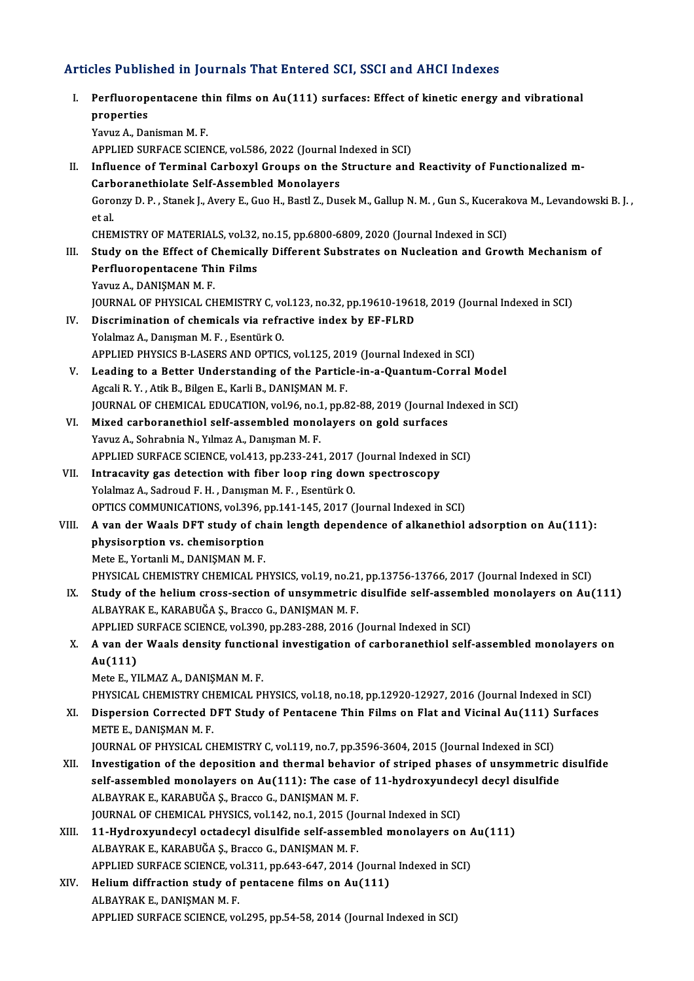# Articles Published in Journals That Entered SCI, SSCI and AHCI Indexes

rticles Published in Journals That Entered SCI, SSCI and AHCI Indexes<br>I. Perfluoropentacene thin films on Au(111) surfaces: Effect of kinetic energy and vibrational<br>Prepartisc properties<br>Perfluorop<br>properties<br><sup>Voruz</sup> A. Dei properties<br>Yavuz A., Danisman M. F. APPLIED SURFACE SCIENCE, vol.586, 2022 (Journal Indexed in SCI) Yavuz A., Danisman M. F.<br>APPLIED SURFACE SCIENCE, vol.586, 2022 (Journal Indexed in SCI)<br>II. Influence of Terminal Carboxyl Groups on the Structure and Reactivity of Functionalized m-<br>Carboranathialate Self Assembled Monal APPLIED SURFACE SCIENCE, vol.586, 2022 (Journal I<br>Influence of Terminal Carboxyl Groups on the<br>Carboranethiolate Self-Assembled Monolayers<br>Corony: D. P. Stanek L. Ayew E. Cuo H. Bestl Z. Duc Influence of Terminal Carboxyl Groups on the Structure and Reactivity of Functionalized m-<br>Carboranethiolate Self-Assembled Monolayers<br>Goronzy D. P. , Stanek J., Avery E., Guo H., Bastl Z., Dusek M., Gallup N. M. , Gun S., Carb<br>Goro<br>et al.<br>CHEN Goronzy D. P. , Stanek J., Avery E., Guo H., Bastl Z., Dusek M., Gallup N. M. , Gun S., Kucerak<br>et al.<br>CHEMISTRY OF MATERIALS, vol.32, no.15, pp.6800-6809, 2020 (Journal Indexed in SCI)<br>Study on the Effect of Chemically Di et al.<br>CHEMISTRY OF MATERIALS, vol.32, no.15, pp.6800-6809, 2020 (Journal Indexed in SCI)<br>III. Study on the Effect of Chemically Different Substrates on Nucleation and Growth Mechanism of<br>Perfluoropentacene Thin Films CHEMISTRY OF MATERIALS, vol.32, no.15, pp.6800-6809, 2020 (Journal Indexed in SCI) Yavuz A., DANIŞMAN M.F. Perfluoropentacene Thin Films<br>Yavuz A., DANIŞMAN M. F.<br>JOURNAL OF PHYSICAL CHEMISTRY C, vol.123, no.32, pp.19610-19618, 2019 (Journal Indexed in SCI)<br>Discrimination of shomisals via refractive index by FE ELPD. Yavuz A., DANIŞMAN M. F.<br>JOURNAL OF PHYSICAL CHEMISTRY C, vol.123, no.32, pp.19610-1961<br>IV. Discrimination of chemicals via refractive index by EF-FLRD<br>Volalmaz A. Danisman M. E. Esentive O. **JOURNAL OF PHYSICAL CHEMISTRY C, vc**<br>Discrimination of chemicals via refra<br>Yolalmaz A., Danışman M. F. , Esentürk O.<br>APPLIED PHYSICS P. LASERS AND OPTICS IV. Discrimination of chemicals via refractive index by EF-FLRD<br>Yolalmaz A., Danışman M. F., Esentürk O.<br>APPLIED PHYSICS B-LASERS AND OPTICS, vol.125, 2019 (Journal Indexed in SCI) V. Leading to a Better Understanding of the Particle-in-a-Quantum-CorralModel Agcali R.Y., Atik B., Bilgen E., Karli B., DANIŞMAN M.F. JOURNAL OF CHEMICAL EDUCATION, vol.96, no.1, pp.82-88, 2019 (Journal Indexed in SCI) VI. Mixed carboranethiol self-assembled monolayers on gold surfaces Yavuz A., Sohrabnia N., Yılmaz A., Danışman M. F. Mixed carboranethiol self-assembled monolayers on gold surfaces<br>Yavuz A., Sohrabnia N., Yılmaz A., Danışman M. F.<br>APPLIED SURFACE SCIENCE, vol.413, pp.233-241, 2017 (Journal Indexed in SCI)<br>Intressyity see detestion with f Yavuz A., Sohrabnia N., Yılmaz A., Danışman M. F.<br>APPLIED SURFACE SCIENCE, vol.413, pp.233-241, 2017 (Journal Indexed i<br>VII. Intracavity gas detection with fiber loop ring down spectroscopy<br>Volalman A. Sodroud E. H., Danıs VII. Intracavity gas detection with fiber loop ring down spectroscopy<br>Yolalmaz A., Sadroud F. H. , Danışman M. F. , Esentürk O. OPTICS COMMUNICATIONS, vol.396, pp.141-145, 2017 (Journal Indexed in SCI) VIII. A van der Waals DFT study of chain length dependence of alkanethiol adsorption on Au(111): OPTICS COMMUNICATIONS, vol.396, p<br>A van der Waals DFT study of chemisorption<br>physisorption vs. chemisorption<br>Mete E Yortanli M, DANISMAN M, E A van der Waals DFT study of ch<br>physisorption vs. chemisorption<br>Mete E., Yortanli M., DANIŞMAN M. F.<br>physical Chemistey Chemical Ph physisorption vs. chemisorption<br>Mete E., Yortanli M., DANIŞMAN M. F.<br>PHYSICAL CHEMISTRY CHEMICAL PHYSICS, vol.19, no.21, pp.13756-13766, 2017 (Journal Indexed in SCI)<br>Study of the belium gross sestion of unsymmetric disulf Mete E., Yortanli M., DANIŞMAN M. F.<br>PHYSICAL CHEMISTRY CHEMICAL PHYSICS, vol.19, no.21, pp.13756-13766, 2017 (Journal Indexed in SCI)<br>IX. Study of the helium cross-section of unsymmetric disulfide self-assembled monolayer PHYSICAL CHEMISTRY CHEMICAL PHYSICS, vol.19, no.21<br>Study of the helium cross-section of unsymmetric<br>ALBAYRAK E., KARABUĞA Ş., Bracco G., DANIŞMAN M. F.<br>APPLIED SUPEACE SCIENCE vol.200, np.292, 299, 2016 ( Study of the helium cross-section of unsymmetric disulfide self-assemb<br>ALBAYRAK E., KARABUĞA Ş., Bracco G., DANIŞMAN M. F.<br>APPLIED SURFACE SCIENCE, vol.390, pp.283-288, 2016 (Journal Indexed in SCI)<br>A uan der Weels density ALBAYRAK E., KARABUĞA Ş., Bracco G., DANIŞMAN M. F.<br>APPLIED SURFACE SCIENCE, vol.390, pp.283-288, 2016 (Journal Indexed in SCI)<br>X. A van der Waals density functional investigation of carboranethiol self-assembled monol APPLIED SURFACE SCIENCE, vol.390, pp.283-288, 2016 (Journal Indexed in SCI)<br>A van der Waals density functional investigation of carboranethiol self<br>Au(111)<br>Mete E., YILMAZ A., DANIŞMAN M. F. A van der Waals density function<br>Au(111)<br>Mete E., YILMAZ A., DANIŞMAN M. F.<br>PHYSICAL CHEMISTRY CHEMICAL PI Au(111)<br>Mete E., YILMAZ A., DANIŞMAN M. F.<br>PHYSICAL CHEMISTRY CHEMICAL PHYSICS, vol.18, no.18, pp.12920-12927, 2016 (Journal Indexed in SCI)<br>Dispersion Couracted DET Study of Pentasane Thin Eilme on Elst and Visinal Au(111 Mete E., YILMAZ A., DANIŞMAN M. F.<br>PHYSICAL CHEMISTRY CHEMICAL PHYSICS, vol.18, no.18, pp.12920-12927, 2016 (Journal Indexed in SCI)<br>XI. Dispersion Corrected DFT Study of Pentacene Thin Films on Flat and Vicinal Au(111 PHYSICAL CHEMISTRY CH<br>Dispersion Corrected L<br>METE E., DANIŞMAN M. F.<br>JOUPNAL OF PHYSICAL CH Dispersion Corrected DFT Study of Pentacene Thin Films on Flat and Vicinal Au(111) S<br>METE E., DANIŞMAN M. F.<br>JOURNAL OF PHYSICAL CHEMISTRY C, vol.119, no.7, pp.3596-3604, 2015 (Journal Indexed in SCI)<br>Investigation of the METE E., DANIŞMAN M. F.<br>JOURNAL OF PHYSICAL CHEMISTRY C, vol.119, no.7, pp.3596-3604, 2015 (Journal Indexed in SCI)<br>XII. Investigation of the deposition and thermal behavior of striped phases of unsymmetric disulfide<br>self-JOURNAL OF PHYSICAL CHEMISTRY C, vol.119, no.7, pp.3596-3604, 2015 (Journal Indexed in SCI)<br>Investigation of the deposition and thermal behavior of striped phases of unsymmetric<br>self-assembled monolayers on Au(111): The ca Investigation of the deposition and thermal behav<br>self-assembled monolayers on Au(111): The case<br>ALBAYRAK E., KARABUĞA Ş., Bracco G., DANIŞMAN M. F.<br>JOUPMAL OF CHEMICAL PHYSICS vol 142 no 1 2015 (Jo self-assembled monolayers on Au(111): The case of 11-hydroxyundecyl decyl disulfide<br>ALBAYRAK E., KARABUĞA Ş., Bracco G., DANIŞMAN M. F.<br>JOURNAL OF CHEMICAL PHYSICS, vol.142, no.1, 2015 (Journal Indexed in SCI) ALBAYRAK E., KARABUĞA Ş., Bracco G., DANIŞMAN M. F.<br>JOURNAL OF CHEMICAL PHYSICS, vol.142, no.1, 2015 (Journal Indexed in SCI)<br>XIII. 11-Hydroxyundecyl octadecyl disulfide self-assembled monolayers on Au(111)<br>ALBAYBAY E. KAB JOURNAL OF CHEMICAL PHYSICS, vol.142, no.1, 2015 (Jo<br>11-Hydroxyundecyl octadecyl disulfide self-assem<br>ALBAYRAK E., KARABUĞA Ş., Bracco G., DANIŞMAN M. F.<br>APPLIED SUPEACE SCIENCE vol.211, np.642,647,2014 ( 11-Hydroxyundecyl octadecyl disulfide self-assembled monolayers on *k*<br>ALBAYRAK E., KARABUĞA Ş., Bracco G., DANIŞMAN M. F.<br>APPLIED SURFACE SCIENCE, vol.311, pp.643-647, 2014 (Journal Indexed in SCI)<br>Helium diffraction stud ALBAYRAK E., KARABUĞA Ş., Bracco G., DANIŞMAN M. F.<br>APPLIED SURFACE SCIENCE, vol.311, pp.643-647, 2014 (Journa<br>XIV. Helium diffraction study of pentacene films on Au(111)<br>ALBAYBAY E. DANISMAN M. E APPLIED SURFACE SCIENCE, vol.311, pp.643-647, 2014 (Journal Indexed in SCI)<br>Helium diffraction study of pentacene films on Au(111)<br>ALBAYRAK E., DANIŞMAN M. F. APPLIED SURFACE SCIENCE, vol.295, pp.54-58, 2014 (Journal Indexed in SCI)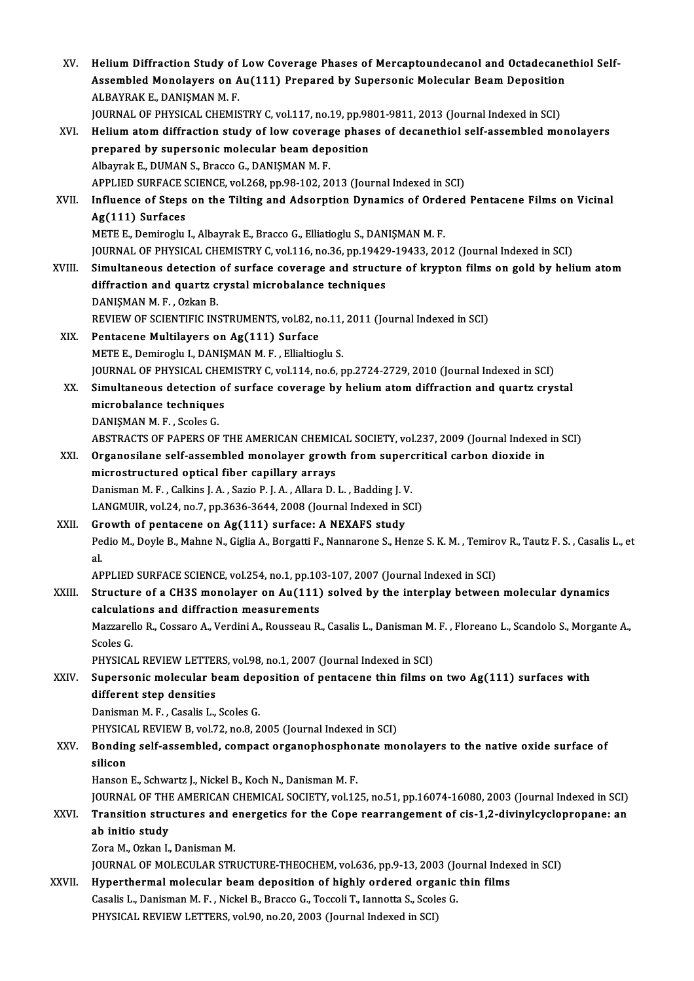| XV.    | Helium Diffraction Study of Low Coverage Phases of Mercaptoundecanol and Octadecanethiol Self-<br>Assembled Monolayers on Au(111) Prepared by Supersonic Molecular Beam Deposition<br>ALBAYRAK E., DANIŞMAN M.F. |
|--------|------------------------------------------------------------------------------------------------------------------------------------------------------------------------------------------------------------------|
|        | JOURNAL OF PHYSICAL CHEMISTRY C, vol.117, no.19, pp.9801-9811, 2013 (Journal Indexed in SCI)                                                                                                                     |
| XVI.   | Helium atom diffraction study of low coverage phases of decanethiol self-assembled monolayers                                                                                                                    |
|        | prepared by supersonic molecular beam deposition                                                                                                                                                                 |
|        | Albayrak E., DUMAN S., Bracco G., DANIŞMAN M.F.                                                                                                                                                                  |
|        | APPLIED SURFACE SCIENCE, vol.268, pp.98-102, 2013 (Journal Indexed in SCI)                                                                                                                                       |
| XVII.  | Influence of Steps on the Tilting and Adsorption Dynamics of Ordered Pentacene Films on Vicinal                                                                                                                  |
|        | Ag(111) Surfaces                                                                                                                                                                                                 |
|        | METE E., Demiroglu I., Albayrak E., Bracco G., Elliatioglu S., DANIŞMAN M. F.                                                                                                                                    |
|        | JOURNAL OF PHYSICAL CHEMISTRY C, vol.116, no.36, pp.19429-19433, 2012 (Journal Indexed in SCI)                                                                                                                   |
| XVIII. | Simultaneous detection of surface coverage and structure of krypton films on gold by helium atom                                                                                                                 |
|        | diffraction and quartz crystal microbalance techniques                                                                                                                                                           |
|        | DANIŞMAN M. F., Ozkan B.                                                                                                                                                                                         |
|        | REVIEW OF SCIENTIFIC INSTRUMENTS, vol.82, no.11, 2011 (Journal Indexed in SCI)                                                                                                                                   |
| XIX.   | Pentacene Multilayers on Ag(111) Surface                                                                                                                                                                         |
|        | METE E., Demiroglu I., DANIŞMAN M. F., Ellialtioglu S.                                                                                                                                                           |
|        | JOURNAL OF PHYSICAL CHEMISTRY C, vol.114, no.6, pp.2724-2729, 2010 (Journal Indexed in SCI)                                                                                                                      |
| XX.    | Simultaneous detection of surface coverage by helium atom diffraction and quartz crystal                                                                                                                         |
|        | microbalance techniques                                                                                                                                                                                          |
|        | DANIŞMAN M. F., Scoles G.                                                                                                                                                                                        |
|        | ABSTRACTS OF PAPERS OF THE AMERICAN CHEMICAL SOCIETY, vol.237, 2009 (Journal Indexed in SCI)                                                                                                                     |
| XXI.   | Organosilane self-assembled monolayer growth from supercritical carbon dioxide in<br>microstructured optical fiber capillary arrays                                                                              |
|        | Danisman M. F., Calkins J. A., Sazio P. J. A., Allara D. L., Badding J. V.                                                                                                                                       |
|        | LANGMUIR, vol.24, no.7, pp.3636-3644, 2008 (Journal Indexed in SCI)                                                                                                                                              |
| XXII.  | Growth of pentacene on Ag(111) surface: A NEXAFS study                                                                                                                                                           |
|        | Pedio M., Doyle B., Mahne N., Giglia A., Borgatti F., Nannarone S., Henze S. K. M., Temirov R., Tautz F. S., Casalis L., et                                                                                      |
|        | al.                                                                                                                                                                                                              |
|        | APPLIED SURFACE SCIENCE, vol.254, no.1, pp.103-107, 2007 (Journal Indexed in SCI)                                                                                                                                |
| XXIII. | Structure of a CH3S monolayer on Au(111) solved by the interplay between molecular dynamics                                                                                                                      |
|        | calculations and diffraction measurements                                                                                                                                                                        |
|        | Mazzarello R., Cossaro A., Verdini A., Rousseau R., Casalis L., Danisman M. F., Floreano L., Scandolo S., Morgante A.,                                                                                           |
|        | Scoles G.                                                                                                                                                                                                        |
|        | PHYSICAL REVIEW LETTERS, vol.98, no.1, 2007 (Journal Indexed in SCI)                                                                                                                                             |
| XXIV.  | Supersonic molecular beam deposition of pentacene thin films on two Ag(111) surfaces with                                                                                                                        |
|        | different step densities                                                                                                                                                                                         |
|        | Danisman M. F., Casalis L., Scoles G.                                                                                                                                                                            |
|        | PHYSICAL REVIEW B, vol.72, no.8, 2005 (Journal Indexed in SCI)                                                                                                                                                   |
| XXV.   | Bonding self-assembled, compact organophosphonate monolayers to the native oxide surface of<br>silicon                                                                                                           |
|        | Hanson E., Schwartz J., Nickel B., Koch N., Danisman M. F.                                                                                                                                                       |
|        | JOURNAL OF THE AMERICAN CHEMICAL SOCIETY, vol.125, no.51, pp.16074-16080, 2003 (Journal Indexed in SCI)                                                                                                          |
| XXVI.  | Transition structures and energetics for the Cope rearrangement of cis-1,2-divinylcyclopropane: an                                                                                                               |
|        | ab initio study                                                                                                                                                                                                  |
|        | Zora M., Ozkan I., Danisman M.                                                                                                                                                                                   |
|        | JOURNAL OF MOLECULAR STRUCTURE-THEOCHEM, vol.636, pp.9-13, 2003 (Journal Indexed in SCI)                                                                                                                         |
| XXVII. | Hyperthermal molecular beam deposition of highly ordered organic thin films                                                                                                                                      |
|        | Casalis L., Danisman M. F., Nickel B., Bracco G., Toccoli T., Iannotta S., Scoles G.                                                                                                                             |
|        | PHYSICAL REVIEW LETTERS, vol.90, no.20, 2003 (Journal Indexed in SCI)                                                                                                                                            |
|        |                                                                                                                                                                                                                  |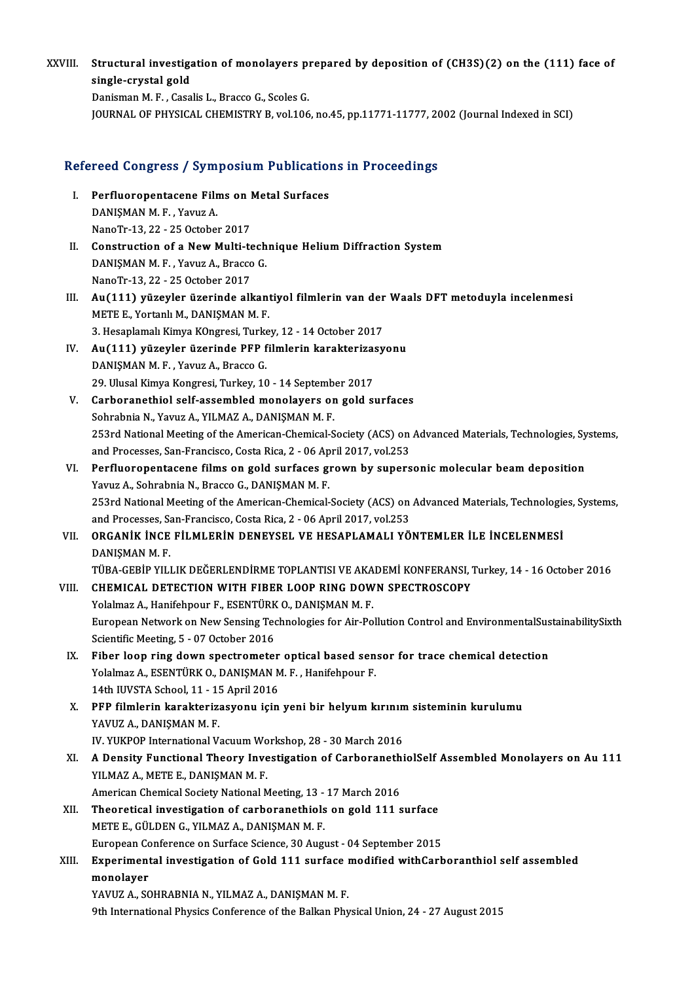XXVIII. Structural investigation of monolayers prepared by deposition of (CH3S)(2) on the (111) face of **Structural investig:**<br>single-crystal gold<br>Donisman M.E. Cass single-crystal gold<br>Danisman M.F., Casalis L., Bracco G., Scoles G.

JOURNALOF PHYSICAL CHEMISTRYB,vol.106,no.45,pp.11771-11777,2002 (Journal Indexed inSCI)

# JOOKNAL OF PHYSICAL CHEMISTRY B, VOLTO6, 10.45, pp.11771-11777, 20<br>Refereed Congress / Symposium Publications in Proceedings

- efereed Congress / Symposium Publication<br>I. Perfluoropentacene Films on Metal Surfaces Perfluoropentacene Film<br>DANIŞMAN M. F. , Yavuz A.<br>NanoTr 12, 22, . 25 October Perfluoropentacene Films on I<br>DANIȘMAN M. F. , Yavuz A.<br>NanoTr-13, 22 - 25 October 2017<br>Construction of a Naw Multi te DANIŞMAN M. F., Yavuz A.<br>NanoTr-13, 22 - 25 October 2017<br>II. Construction of a New Multi-technique Helium Diffraction System<br>DANISMAN M. E. Yavug A. Prassa C
- NanoTr-13, 22 25 October 2017<br>Construction of a New Multi-tech<br>DANIŞMAN M. F. , Yavuz A., Bracco G.<br>NanoTr 12, 22, .25 Ostober 2017 Construction of a New Multi-te<br>DANIŞMAN M. F. , Yavuz A., Bracco<br>NanoTr-13, 22 - 25 October 2017<br>An (111), rügevler ügeninde all DANIŞMAN M. F. , Yavuz A., Bracco G.<br>NanoTr-13, 22 - 25 October 2017<br>III. Au(111) yüzeyler üzerinde alkantiyol filmlerin van der Waals DFT metoduyla incelenmesi<br>METE E. Vortopl: M. DANISMAN M. E
- NanoTr-13, 22 25 October 2017<br>Au(111) yüzeyler üzerinde alkant<br>METE E., Yortanlı M., DANIŞMAN M. F.<br>2. Hesanlamalı Kimus KOnsrasi Turka Au(111) yüzeyler üzerinde alkantiyol filmlerin van der<br>METE E., Yortanlı M., DANIŞMAN M. F.<br>3. Hesaplamalı Kimya KOngresi, Turkey, 12 - 14 October 2017<br>Au(111) yüzeylen üzeninde PEP filmlerin kanaktarizesy METE E., Yortanlı M., DANIŞMAN M. F.<br>3. Hesaplamalı Kimya KOngresi, Turkey, 12 - 14 October 2017<br>IV. Au(111) yüzeyler üzerinde PFP filmlerin karakterizasyonu<br>DANISMAN M. E. Youwa A. Brasso C
- 3. Hesaplamalı Kimya KOngresi, Turke<br>Au(111) yüzeyler üzerinde PFP f<br>DANIŞMAN M. F. , Yavuz A., Bracco G.<br>20. Ulusel Kimya Kongresi, Turkey 16 Au(111) yüzeyler üzerinde PFP filmlerin karakterizas<br>DANIŞMAN M. F. , Yavuz A., Bracco G.<br>29. Ulusal Kimya Kongresi, Turkey, 10 - 14 September 2017<br>Carboranethiol self assembled monolayers en geld sı 29. Ulusal Kimya Kongresi, Turkey, 10 - 14 September 2017
- DANIŞMAN M. F. , Yavuz A., Bracco G.<br>29. Ulusal Kimya Kongresi, Turkey, 10 14 September 2017<br>V. Carboranethiol self-assembled monolayers on gold surfaces<br>Sohrabnia N., Yavuz A., YILMAZ A., DANISMAN M. F. Carboranethiol self-assembled monolayers on gold surfaces<br>Sohrabnia N., Yavuz A., YILMAZ A., DANIŞMAN M. F.<br>253rd National Meeting of the American-Chemical-Society (ACS) on Advanced Materials, Technologies, Systems,<br>and Pr Sohrabnia N., Yavuz A., YILMAZ A., DANIŞMAN M. F.<br>253rd National Meeting of the American-Chemical-Society (ACS) on<br>and Processes, San-Francisco, Costa Rica, 2 - 06 April 2017, vol.253<br>Perfluerenentasene films on geld surfa and Processes, San-Francisco, Costa Rica, 2 - 06 April 2017, vol.253<br>VI. Perfluoropentacene films on gold surfaces grown by supersonic molecular beam deposition
- Yavuz A., Sohrabnia N., Bracco G., DANIŞMAN M. F. Perfluoropentacene films on gold surfaces grown by supersonic molecular beam deposition<br>Yavuz A., Sohrabnia N., Bracco G., DANIŞMAN M. F.<br>253rd National Meeting of the American-Chemical-Society (ACS) on Advanced Materials, Yavuz A., Sohrabnia N., Bracco G., DANIȘMAN M. F.<br>253rd National Meeting of the American-Chemical-Society (ACS) on<br>and Processes, San-Francisco, Costa Rica, 2 - 06 April 2017, vol.253<br>OBCANIK INCE EU MLERIN DENEVSEL VE HES 253rd National Meeting of the American-Chemical-Society (ACS) on Advanced Materials, Technologie<br>and Processes, San-Francisco, Costa Rica, 2 - 06 April 2017, vol.253<br>VII. **ORGANİK İNCE FİLMLERİN DENEYSEL VE HESAPLAMALI YÖN**
- and Processes, San-Francisco, Costa Rica, 2 06 April 2017, vol.253<br>ORGANIK INCE FILMLERIN DENEYSEL VE HESAPLAMALI YÖNTEMLER İLE INCELENMESI<br>DANISMAN M. F. ORGANİK İNCE FİLMLERİN DENEYSEL VE HESAPLAMALI YÖNTEMLER İLE İNCELENMESİ<br>DANIŞMAN M. F.<br>TÜBA-GEBİP YILLIK DEĞERLENDİRME TOPLANTISI VE AKADEMİ KONFERANSI, Turkey, 14 - 16 October 2016<br>CHEMICAL DETECTION WITH EIRER LOOR RINC

VIII. CHEMICAL DETECTION WITH FIBER LOOP RING DOWN SPECTROSCOPY<br>Yolalmaz A., Hanifehpour F., ESENTÜRK O., DANIŞMAN M. F. TÜBA-GEBİP YILLIK DEĞERLENDİRME TOPLANTISI VE AKA<br>CHEMICAL DETECTION WITH FIBER LOOP RING DOW<br>Yolalmaz A., Hanifehpour F., ESENTÜRK O., DANIŞMAN M. F.<br>Furoneen Network on New Songing Technologies for Air Bo

CHEMICAL DETECTION WITH FIBER LOOP RING DOWN SPECTROSCOPY<br>Yolalmaz A., Hanifehpour F., ESENTÜRK O., DANIŞMAN M. F.<br>European Network on New Sensing Technologies for Air-Pollution Control and EnvironmentalSustainabilitySixth Yolalmaz A., Hanifehpour F., ESENTÜRK<br>European Network on New Sensing Tec<br>Scientific Meeting, 5 - 07 October 2016<br>Eiher Jean ring down anastramates European Network on New Sensing Technologies for Air-Pollution Control and EnvironmentalSus<br>Scientific Meeting, 5 - 07 October 2016<br>IX. Fiber loop ring down spectrometer optical based sensor for trace chemical detection<br>Vo

- Scientific Meeting, 5 07 October 2016<br>Fiber loop ring down spectrometer optical based sen<br>Yolalmaz A., ESENTÜRK O., DANIŞMAN M. F. , Hanifehpour F.<br>14th UNSTA School 11 15 April 2016 Fiber loop ring down spectrometer<br>Yolalmaz A., ESENTÜRK O., DANIŞMAN M<br>14th IUVSTA School, 11 - 15 April 2016<br>PEP filmlerin karakterizesyonu isin Yolalmaz A., ESENTÜRK O., DANIŞMAN M. F. , Hanifehpour F.<br>14th IUVSTA School, 11 - 15 April 2016<br>X. PFP filmlerin karakterizasyonu için yeni bir helyum kırınım sisteminin kurulumu<br>YAVIIZ A. DANISMAN M. F
- 14th IUVSTA School, 11 1!<br>PFP filmlerin karakteriz:<br>YAVUZ A., DANIŞMAN M. F.<br>IV YUKBOB International V. PFP filmlerin karakterizasyonu için yeni bir helyum kırının<br>YAVUZ A., DANIŞMAN M. F.<br>IV. YUKPOP International Vacuum Workshop, 28 - 30 March 2016<br>A Donsity Eungtional Theory Investigation of Carborenethi
- YAVUZ A., DANIŞMAN M. F.<br>IV. YUKPOP International Vacuum Workshop, 28 30 March 2016<br>XI. A Density Functional Theory Investigation of CarboranethiolSelf Assembled Monolayers on Au 111<br>XII MAZ A. METE E. DANISMAN M. F. IV. YUKPOP International Vacuum Wo<br>A Density Functional Theory Inve<br>YILMAZ A., METE E., DANIŞMAN M. F.<br>American Chemical Seciety National M A Density Functional Theory Investigation of Carboraneth<br>YILMAZ A., METE E., DANIŞMAN M. F.<br>American Chemical Society National Meeting, 13 - 17 March 2016<br>Theoratical investigation of carboranethiels on gold 111 c YILMAZ A., METE E., DANIŞMAN M. F.<br>American Chemical Society National Meeting, 13 - 17 March 2016<br>XII. Theoretical investigation of carboranethiols on gold 111 surface<br>METE E. CÜLDEN C. VILMAZ A. DANISMAN M. E.
- American Chemical Society National Meeting, 13 -<br>Theoretical investigation of carboranethiols<br>METE E., GÜLDEN G., YILMAZ A., DANIŞMAN M. F.<br>Furonean Conforance on Surface Science, 20 Augu Theoretical investigation of carboranethiols on gold 111 surface<br>METE E., GÜLDEN G., YILMAZ A., DANIŞMAN M. F.<br>European Conference on Surface Science, 30 August - 04 September 2015<br>Europimental investigation of Gold 111 su METE E., GÜLDEN G., YILMAZ A., DANIŞMAN M. F.<br>European Conference on Surface Science, 30 August - 04 September 2015<br>XIII. Experimental investigation of Gold 111 surface modified withCarboranthiol self assembled<br>monolower
- European Co<br><mark>Experiment</mark><br>monolayer<br><sup>VAVU7</sup> A SC Experimental investigation of Gold 111 surface i<br>monolayer<br>YAVUZ A., SOHRABNIA N., YILMAZ A., DANIŞMAN M. F.<br><sup>Oth Intornational Physics Conference of the Bollian Physics</sub></sup> monolayer<br>19th International Physics Conference of the Balkan Physical Union, 24 - 27 August<br>19th International Physics Conference of the Balkan Physical Union, 24 - 27 August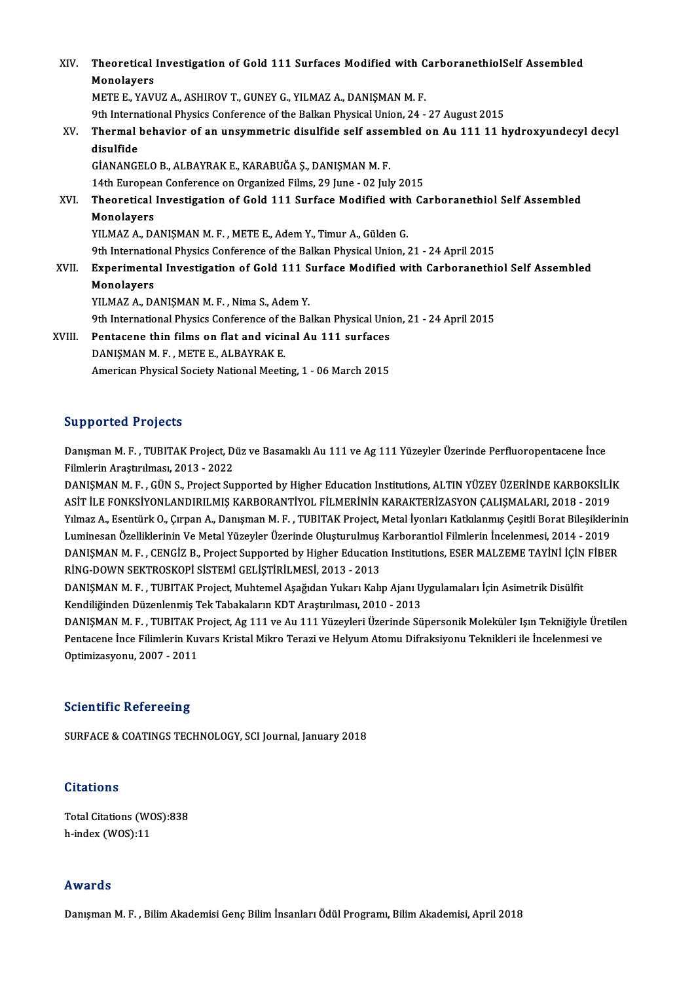| XIV.   | Theoretical Investigation of Gold 111 Surfaces Modified with CarboranethiolSelf Assembled     |
|--------|-----------------------------------------------------------------------------------------------|
|        | Monolayers                                                                                    |
|        | METE E., YAVUZ A., ASHIROV T., GUNEY G., YILMAZ A., DANIŞMAN M. F.                            |
|        | 9th International Physics Conference of the Balkan Physical Union, 24 - 27 August 2015        |
| XV.    | Thermal behavior of an unsymmetric disulfide self assembled on Au 111 11 hydroxyundecyl decyl |
|        | disulfide                                                                                     |
|        | GİANANGELO B., ALBAYRAK E., KARABUĞA Ş., DANIŞMAN M. F.                                       |
|        | 14th European Conference on Organized Films, 29 June - 02 July 2015                           |
| XVI.   | Theoretical Investigation of Gold 111 Surface Modified with Carboranethiol Self Assembled     |
|        | Monolayers                                                                                    |
|        | YILMAZ A., DANIŞMAN M. F., METE E., Adem Y., Timur A., Gülden G.                              |
|        | 9th International Physics Conference of the Balkan Physical Union, 21 - 24 April 2015         |
| XVII.  | Experimental Investigation of Gold 111 Surface Modified with Carboranethiol Self Assembled    |
|        | Monolayers                                                                                    |
|        | YILMAZ A., DANIŞMAN M. F., Nima S., Adem Y.                                                   |
|        | 9th International Physics Conference of the Balkan Physical Union, 21 - 24 April 2015         |
| XVIII. | Pentacene thin films on flat and vicinal Au 111 surfaces                                      |
|        | DANISMAN M F, METE E, ALBAYRAK E                                                              |
|        | American Physical Society National Meeting, 1 - 06 March 2015                                 |
|        |                                                                                               |

# Supported Projects

Supported Projects<br>Danışman M. F. , TUBITAK Project, Düz ve Basamaklı Au 111 ve Ag 111 Yüzeyler Üzerinde Perfluoropentacene İnce<br>Filmlerin Arastırılması, 2012, 2022 Filmlerin<br>Danışman M. F. , TUBITAK Project, D.<br>Filmlerin Araştırılması, 2013 - 2022<br>DANISMAN M. E. CÜN S. Project Su. Danışman M. F. , TUBITAK Project, Düz ve Basamaklı Au 111 ve Ag 111 Yüzeyler Üzerinde Perfluoropentacene İnce<br>Filmlerin Araştırılması, 2013 - 2022<br>DANIŞMAN M. F. , GÜN S., Project Supported by Higher Education Institutions

Filmlerin Araştırılması, 2013 - 2022<br>DANIŞMAN M. F. , GÜN S., Project Supported by Higher Education Institutions, ALTIN YÜZEY ÜZERİNDE KARBOKSİLİ<br>ASİT İLE FONKSİYONLANDIRILMIŞ KARBORANTİYOL FİLMERİNİN KARAKTERİZASYON ÇALIŞ DANIŞMAN M. F. , GÜN S., Project Supported by Higher Education Institutions, ALTIN YÜZEY ÜZERİNDE KARBOKSİLİK<br>ASİT İLE FONKSİYONLANDIRILMIŞ KARBORANTİYOL FİLMERİNİN KARAKTERİZASYON ÇALIŞMALARI, 2018 - 2019<br>Yılmaz A., Esent ASİT İLE FONKSİYONLANDIRILMIŞ KARBORANTİYOL FİLMERİNİN KARAKTERİZASYON ÇALIŞMALARI, 2018 - 2019<br>Yılmaz A., Esentürk O., Çırpan A., Danışman M. F. , TUBITAK Project, Metal İyonları Katkılanmış Çeşitli Borat Bileşiklerinin<br>L Yılmaz A., Esentürk O., Çırpan A., Danışman M. F. , TUBITAK Project, Metal İyonları Katkılanmış Çeşitli Borat Bileşiklerini<br>Luminesan Özelliklerinin Ve Metal Yüzeyler Üzerinde Oluşturulmuş Karborantiol Filmlerin İncelenmes Luminesan Özelliklerinin Ve Metal Yüzeyler Üzerinde Oluşturulmuş<br>DANIŞMAN M. F. , CENGİZ B., Project Supported by Higher Educatio<br>RİNG-DOWN SEKTROSKOPİ SİSTEMİ GELİŞTİRİLMESİ, 2013 - 2013<br>DANISMAN M. E., TUPITAK Project, M DANIŞMAN M. F. , CENGİZ B., Project Supported by Higher Education Institutions, ESER MALZEME TAYİNİ İÇİN<br>RİNG-DOWN SEKTROSKOPİ SİSTEMİ GELİŞTİRİLMESİ, 2013 - 2013<br>DANIŞMAN M. F. , TUBITAK Project, Muhtemel Aşağıdan Yukarı

RİNG-DOWN SEKTROSKOPİ SİSTEMİ GELİŞTİRİLMESİ, 2013 - 2013<br>DANIŞMAN M. F. , TUBITAK Project, Muhtemel Aşağıdan Yukarı Kalıp Ajanı Uygulamaları İçin Asimetrik Disülfit<br>Kendiliğinden Düzenlenmiş Tek Tabakaların KDT Araştırılm DANIŞMAN M. F. , TUBITAK Project, Muhtemel Aşağıdan Yukarı Kalıp Ajanı Uygulamaları İçin Asimetrik Disülfit<br>Kendiliğinden Düzenlenmiş Tek Tabakaların KDT Araştırılması, 2010 - 2013<br>DANIŞMAN M. F. , TUBITAK Project, Ag 111

Kendiliğinden Düzenlenmiş Tek Tabakaların KDT Araştırılması, 2010 - 2013<br>DANIŞMAN M. F. , TUBITAK Project, Ag 111 ve Au 111 Yüzeyleri Üzerinde Süpersonik Moleküler Işın Tekniğiyle Üre<br>Pentacene İnce Filimlerin Kuvars Krist DANIŞMAN M. F. , TUBITAK F<br>Pentacene İnce Filimlerin Kuv<br>Optimizasyonu, 2007 - 2011 Optimizasyonu, 2007 - 2011<br>Scientific Refereeing

SURFACE & COATINGS TECHNOLOGY, SCI Journal, January 2018

# **Citations**

Total Citations (WOS):838 h-index (WOS):11

# Awards

Danışman M.F., Bilim Akademisi Genç Bilim İnsanları Ödül Programı, Bilim Akademisi, April 2018